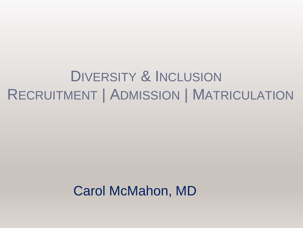#### DIVERSITY & INCLUSION RECRUITMENT | ADMISSION | MATRICULATION

#### Carol McMahon, MD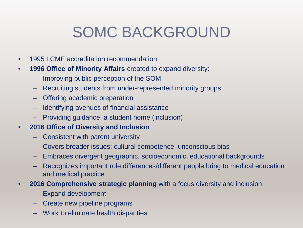#### SOMC BACKGROUND

- 1995 LCME accreditation recommendation
- **1996 Office of Minority Affairs** created to expand diversity:
	- Improving public perception of the SOM
	- Recruiting students from under-represented minority groups
	- Offering academic preparation
	- Identifying avenues of financial assistance
	- Providing guidance, a student home (inclusion)

#### • **2016 Office of Diversity and Inclusion**

- Consistent with parent university
- Covers broader issues: cultural competence, unconscious bias
- Embraces divergent geographic, socioeconomic, educational backgrounds
- Recognizes important role differences/different people bring to medical education and medical practice
- **2016 Comprehensive strategic planning** with a focus diversity and inclusion
	- Expand development
	- Create new pipeline programs
	- Work to eliminate health disparities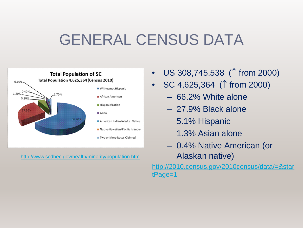#### GENERAL CENSUS DATA



<http://www.scdhec.gov/health/minority/population.htm>

- US 308,745,538 (↑ from 2000)
- SC 4,625,364 (↑ from 2000)
	- 66.2% White alone
	- 27.9% Black alone
	- 5.1% Hispanic
	- 1.3% Asian alone
	- 0.4% Native American (or Alaskan native)

[http://2010.census.gov/2010census/data/=&star](http://2010.census.gov/2010census/data/=&startPage=1) tPage=1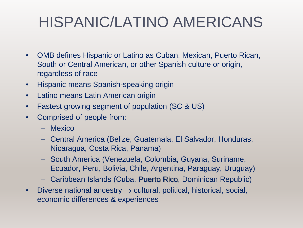#### HISPANIC/LATINO AMERICANS

- OMB defines Hispanic or Latino as Cuban, Mexican, Puerto Rican, South or Central American, or other Spanish culture or origin, regardless of race
- Hispanic means Spanish-speaking origin
- Latino means Latin American origin
- Fastest growing segment of population (SC & US)
- Comprised of people from:
	- Mexico
	- Central America (Belize, Guatemala, El Salvador, Honduras, Nicaragua, Costa Rica, Panama)
	- South America (Venezuela, Colombia, Guyana, Suriname, Ecuador, Peru, Bolivia, Chile, Argentina, Paraguay, Uruguay)
	- Caribbean Islands (Cuba, Puerto Rico, Dominican Republic)
- Diverse national ancestry  $\rightarrow$  cultural, political, historical, social, economic differences & experiences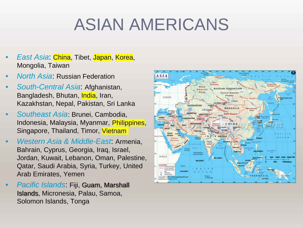# ASIAN AMERICANS

- *East Asia*: China, Tibet, Japan, Korea, Mongolia, Taiwan
- *North Asia*: Russian Federation
- *South-Central Asia*: Afghanistan, Bangladesh, Bhutan, India, Iran, Kazakhstan, Nepal, Pakistan, Sri Lanka
- *Southeast Asia*: Brunei, Cambodia, Indonesia, Malaysia, Myanmar, Philippines, Singapore, Thailand, Timor, Vietnam
- *Western Asia & Middle-East*: Armenia, Bahrain, Cyprus, Georgia, Iraq, Israel, Jordan, Kuwait, Lebanon, Oman, Palestine, Qatar, Saudi Arabia, Syria, Turkey, United Arab Emirates, Yemen
- *Pacific Islands*: Fiji, Guam, Marshall Islands, Micronesia, Palau, Samoa, Solomon Islands, Tonga

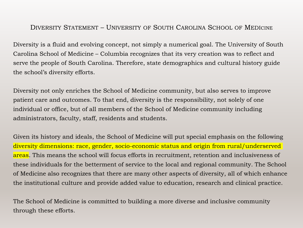#### DIVERSITY STATEMENT – UNIVERSITY OF SOUTH CAROLINA SCHOOL OF MEDICINE

Diversity is a fluid and evolving concept, not simply a numerical goal. The University of South Carolina School of Medicine – Columbia recognizes that its very creation was to reflect and serve the people of South Carolina. Therefore, state demographics and cultural history guide the school's diversity efforts.

Diversity not only enriches the School of Medicine community, but also serves to improve patient care and outcomes. To that end, diversity is the responsibility, not solely of one individual or office, but of all members of the School of Medicine community including administrators, faculty, staff, residents and students.

Given its history and ideals, the School of Medicine will put special emphasis on the following diversity dimensions: race, gender, socio-economic status and origin from rural/underserved areas. This means the school will focus efforts in recruitment, retention and inclusiveness of these individuals for the betterment of service to the local and regional community. The School of Medicine also recognizes that there are many other aspects of diversity, all of which enhance the institutional culture and provide added value to education, research and clinical practice.

The School of Medicine is committed to building a more diverse and inclusive community through these efforts.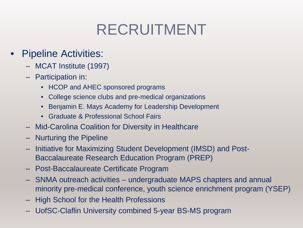#### RECRUITMENT

- Pipeline Activities:
	- MCAT Institute (1997)
	- Participation in:
		- HCOP and AHEC sponsored programs
		- College science clubs and pre-medical organizations
		- Benjamin E. Mays Academy for Leadership Development
		- Graduate & Professional School Fairs
	- Mid-Carolina Coalition for Diversity in Healthcare
	- Nurturing the Pipeline
	- Initiative for Maximizing Student Development (IMSD) and Post-Baccalaureate Research Education Program (PREP)
	- Post-Baccalaureate Certificate Program
	- SNMA outreach activities undergraduate MAPS chapters and annual minority pre-medical conference, youth science enrichment program (YSEP)
	- High School for the Health Professions
	- UofSC-Claflin University combined 5-year BS-MS program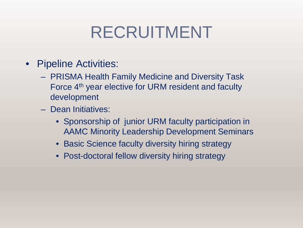## RECRUITMENT

- Pipeline Activities:
	- PRISMA Health Family Medicine and Diversity Task Force 4<sup>th</sup> year elective for URM resident and faculty development
	- Dean Initiatives:
		- Sponsorship of junior URM faculty participation in AAMC Minority Leadership Development Seminars
		- Basic Science faculty diversity hiring strategy
		- Post-doctoral fellow diversity hiring strategy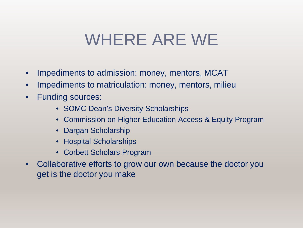### WHERE ARE WE

- Impediments to admission: money, mentors, MCAT
- Impediments to matriculation: money, mentors, milieu
- Funding sources:
	- SOMC Dean's Diversity Scholarships
	- Commission on Higher Education Access & Equity Program
	- Dargan Scholarship
	- Hospital Scholarships
	- Corbett Scholars Program
- Collaborative efforts to grow our own because the doctor you get is the doctor you make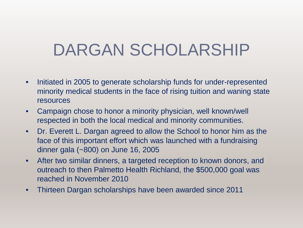## DARGAN SCHOLARSHIP

- Initiated in 2005 to generate scholarship funds for under-represented minority medical students in the face of rising tuition and waning state resources
- Campaign chose to honor a minority physician, well known/well respected in both the local medical and minority communities.
- Dr. Everett L. Dargan agreed to allow the School to honor him as the face of this important effort which was launched with a fundraising dinner gala (~800) on June 16, 2005
- After two similar dinners, a targeted reception to known donors, and outreach to then Palmetto Health Richland, the \$500,000 goal was reached in November 2010
- Thirteen Dargan scholarships have been awarded since 2011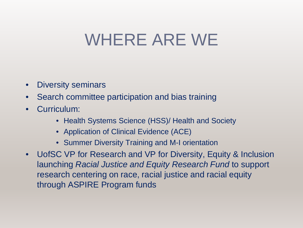## WHERE ARE WE

- Diversity seminars
- Search committee participation and bias training
- Curriculum:
	- Health Systems Science (HSS)/ Health and Society
	- Application of Clinical Evidence (ACE)
	- Summer Diversity Training and M-I orientation
- UofSC VP for Research and VP for Diversity, Equity & Inclusion launching *Racial Justice and Equity Research Fund* to support research centering on race, racial justice and racial equity through ASPIRE Program funds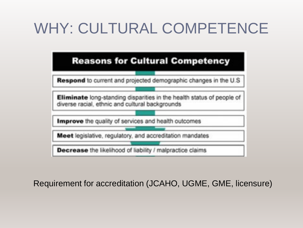#### WHY: CULTURAL COMPETENCE



Requirement for accreditation (JCAHO, UGME, GME, licensure)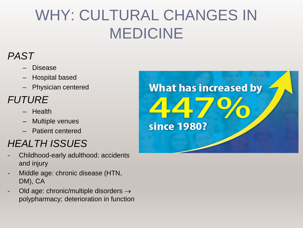#### WHY: CULTURAL CHANGES IN MEDICINE

#### *PAST*

- Disease
- Hospital based
- Physician centered

#### *FUTURE*

- Health
- Multiple venues
- Patient centered

#### *HEALTH ISSUES*

- Childhood-early adulthood: accidents and injury
- Middle age: chronic disease (HTN, DM), CA
- Old age: chronic/multiple disorders  $\rightarrow$ polypharmacy; deterioration in function

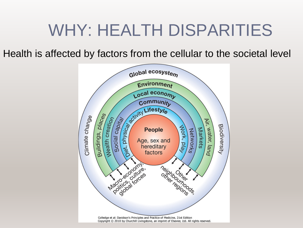## WHY: HEALTH DISPARITIES

Health is affected by factors from the cellular to the societal level

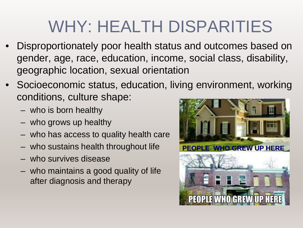# WHY: HEALTH DISPARITIES

- Disproportionately poor health status and outcomes based on gender, age, race, education, income, social class, disability, geographic location, sexual orientation
- Socioeconomic status, education, living environment, working conditions, culture shape:
	- who is born healthy
	- who grows up healthy
	- who has access to quality health care
	- who sustains health throughout life
	- who survives disease
	- who maintains a good quality of life after diagnosis and therapy